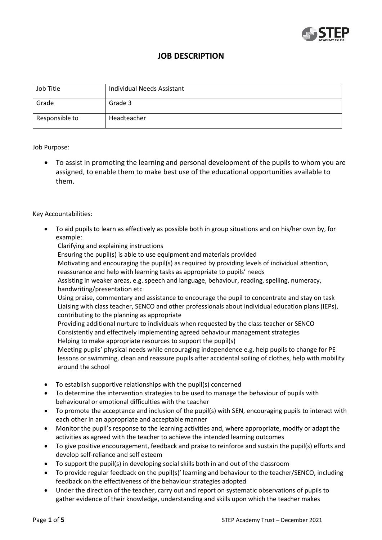

## **JOB DESCRIPTION**

| Job Title      | Individual Needs Assistant |
|----------------|----------------------------|
| Grade          | Grade 3                    |
| Responsible to | Headteacher                |

#### Job Purpose:

 To assist in promoting the learning and personal development of the pupils to whom you are assigned, to enable them to make best use of the educational opportunities available to them.

#### Key Accountabilities:

- To aid pupils to learn as effectively as possible both in group situations and on his/her own by, for example:
	- Clarifying and explaining instructions

Ensuring the pupil(s) is able to use equipment and materials provided

Motivating and encouraging the pupil(s) as required by providing levels of individual attention, reassurance and help with learning tasks as appropriate to pupils' needs

Assisting in weaker areas, e.g. speech and language, behaviour, reading, spelling, numeracy, handwriting/presentation etc

Using praise, commentary and assistance to encourage the pupil to concentrate and stay on task Liaising with class teacher, SENCO and other professionals about individual education plans (IEPs), contributing to the planning as appropriate

Providing additional nurture to individuals when requested by the class teacher or SENCO Consistently and effectively implementing agreed behaviour management strategies Helping to make appropriate resources to support the pupil(s)

Meeting pupils' physical needs while encouraging independence e.g. help pupils to change for PE lessons or swimming, clean and reassure pupils after accidental soiling of clothes, help with mobility around the school

- To establish supportive relationships with the pupil(s) concerned
- To determine the intervention strategies to be used to manage the behaviour of pupils with behavioural or emotional difficulties with the teacher
- To promote the acceptance and inclusion of the pupil(s) with SEN, encouraging pupils to interact with each other in an appropriate and acceptable manner
- Monitor the pupil's response to the learning activities and, where appropriate, modify or adapt the activities as agreed with the teacher to achieve the intended learning outcomes
- To give positive encouragement, feedback and praise to reinforce and sustain the pupil(s) efforts and develop self-reliance and self esteem
- To support the pupil(s) in developing social skills both in and out of the classroom
- To provide regular feedback on the pupil(s)' learning and behaviour to the teacher/SENCO, including feedback on the effectiveness of the behaviour strategies adopted
- Under the direction of the teacher, carry out and report on systematic observations of pupils to gather evidence of their knowledge, understanding and skills upon which the teacher makes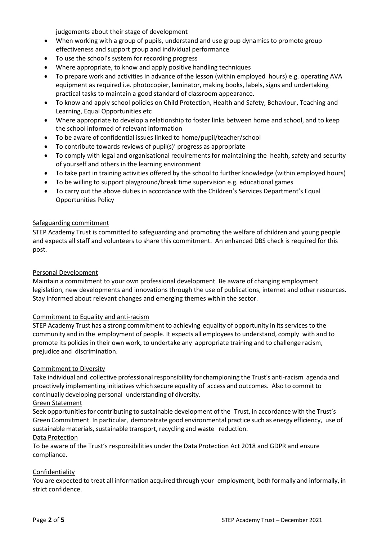judgements about their stage of development

- When working with a group of pupils, understand and use group dynamics to promote group effectiveness and support group and individual performance
- To use the school's system for recording progress
- Where appropriate, to know and apply positive handling techniques
- To prepare work and activities in advance of the lesson (within employed hours) e.g. operating AVA equipment as required i.e. photocopier, laminator, making books, labels, signs and undertaking practical tasks to maintain a good standard of classroom appearance.
- To know and apply school policies on Child Protection, Health and Safety, Behaviour, Teaching and Learning, Equal Opportunities etc
- Where appropriate to develop a relationship to foster links between home and school, and to keep the school informed of relevant information
- To be aware of confidential issues linked to home/pupil/teacher/school
- To contribute towards reviews of pupil(s)' progress as appropriate
- To comply with legal and organisational requirements for maintaining the health, safety and security of yourself and others in the learning environment
- To take part in training activities offered by the school to further knowledge (within employed hours)
- To be willing to support playground/break time supervision e.g. educational games
- To carry out the above duties in accordance with the Children's Services Department's Equal Opportunities Policy

#### Safeguarding commitment

STEP Academy Trust is committed to safeguarding and promoting the welfare of children and young people and expects all staff and volunteers to share this commitment. An enhanced DBS check is required for this post.

#### Personal Development

Maintain a commitment to your own professional development. Be aware of changing employment legislation, new developments and innovations through the use of publications, internet and other resources. Stay informed about relevant changes and emerging themes within the sector.

#### Commitment to Equality and anti-racism

STEP Academy Trust has a strong commitment to achieving equality of opportunity in its services to the community and in the employment of people. It expects all employeesto understand, comply with and to promote its policies in their own work, to undertake any appropriate training and to challenge racism, prejudice and discrimination.

#### Commitment to Diversity

Take individual and collective professional responsibility for championing the Trust's anti-racism agenda and proactively implementing initiatives which secure equality of access and outcomes. Also to commit to continually developing personal understanding of diversity.

#### Green Statement

Seek opportunities for contributing to sustainable development of the Trust, in accordance with the Trust's Green Commitment. In particular, demonstrate good environmental practice such as energy efficiency, use of sustainable materials, sustainable transport, recycling and waste reduction.

#### Data Protection

To be aware of the Trust's responsibilities under the Data Protection Act 2018 and GDPR and ensure compliance.

#### Confidentiality

You are expected to treat all information acquired through your employment, both formally and informally, in strict confidence.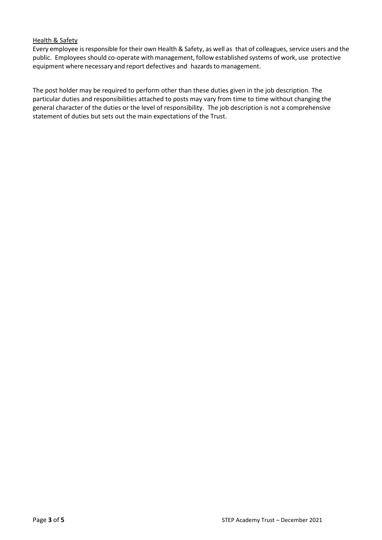#### Health & Safety

Every employee is responsible for their own Health & Safety, as well as that of colleagues, service users and the public. Employees should co-operate with management, follow established systems of work, use protective equipment where necessary and report defectives and hazards to management.

The post holder may be required to perform other than these duties given in the job description. The particular duties and responsibilities attached to posts may vary from time to time without changing the general character of the duties or the level of responsibility. The job description is not a comprehensive statement of duties but sets out the main expectations of the Trust.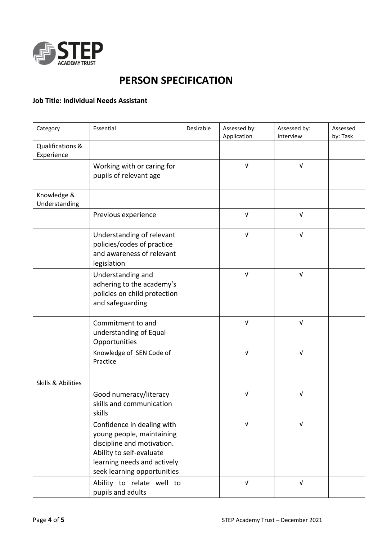

# **PERSON SPECIFICATION**

### **Job Title: Individual Needs Assistant**

| Category                       | Essential                                                                                                                                                                       | Desirable | Assessed by:<br>Application | Assessed by:<br>Interview | Assessed<br>by: Task |
|--------------------------------|---------------------------------------------------------------------------------------------------------------------------------------------------------------------------------|-----------|-----------------------------|---------------------------|----------------------|
| Qualifications &<br>Experience |                                                                                                                                                                                 |           |                             |                           |                      |
|                                | Working with or caring for<br>pupils of relevant age                                                                                                                            |           | $\ensuremath{\mathsf{V}}$   | $\sqrt{ }$                |                      |
| Knowledge &<br>Understanding   |                                                                                                                                                                                 |           |                             |                           |                      |
|                                | Previous experience                                                                                                                                                             |           | $\sqrt{ }$                  | $\sqrt{ }$                |                      |
|                                | Understanding of relevant<br>policies/codes of practice<br>and awareness of relevant<br>legislation                                                                             |           | $\sqrt{ }$                  | $\sqrt{ }$                |                      |
|                                | Understanding and<br>adhering to the academy's<br>policies on child protection<br>and safeguarding                                                                              |           | $\sqrt{ }$                  | $\sqrt{ }$                |                      |
|                                | Commitment to and<br>understanding of Equal<br>Opportunities                                                                                                                    |           | $\sqrt{ }$                  | $\sqrt{ }$                |                      |
|                                | Knowledge of SEN Code of<br>Practice                                                                                                                                            |           | $\sqrt{ }$                  | $\sqrt{ }$                |                      |
| <b>Skills &amp; Abilities</b>  |                                                                                                                                                                                 |           |                             |                           |                      |
|                                | Good numeracy/literacy<br>skills and communication<br>skills                                                                                                                    |           | $\sqrt{ }$                  | $\sqrt{ }$                |                      |
|                                | Confidence in dealing with<br>young people, maintaining<br>discipline and motivation.<br>Ability to self-evaluate<br>learning needs and actively<br>seek learning opportunities |           | $\ensuremath{\mathsf{V}}$   | $\ensuremath{\mathsf{V}}$ |                      |
|                                | Ability to relate well to<br>pupils and adults                                                                                                                                  |           | $\sqrt{ }$                  | $\sqrt{ }$                |                      |